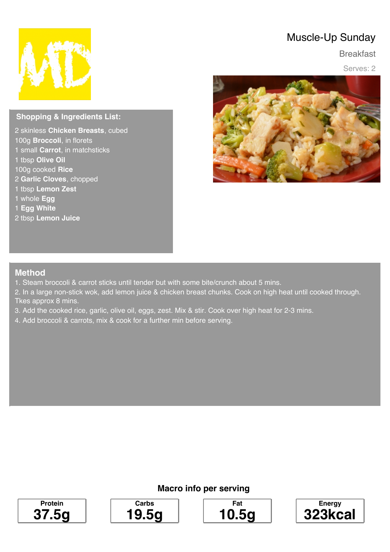# Muscle-Up Sunday

## Breakfast

Serves: 2



## **Shopping & Ingredients List:**

2 skinless **Chicken Breasts**, cubed 100g **Broccoli**, in florets 1 small **Carrot**, in matchsticks 1 tbsp **Olive Oil** 100g cooked **Rice** 2 **Garlic Cloves**, chopped 1 tbsp **Lemon Zest** 1 whole **Egg** 1 **Egg White**



#### **Method**

2 tbsp **Lemon Juice**

1. Steam broccoli & carrot sticks until tender but with some bite/crunch about 5 mins.

**Carbs 19.5g**

- 2. In a large non-stick wok, add lemon juice & chicken breast chunks. Cook on high heat until cooked through. Tkes approx 8 mins.
- 3. Add the cooked rice, garlic, olive oil, eggs, zest. Mix & stir. Cook over high heat for 2-3 mins.
- 4. Add broccoli & carrots, mix & cook for a further min before serving.

## **Protein 37.5g**





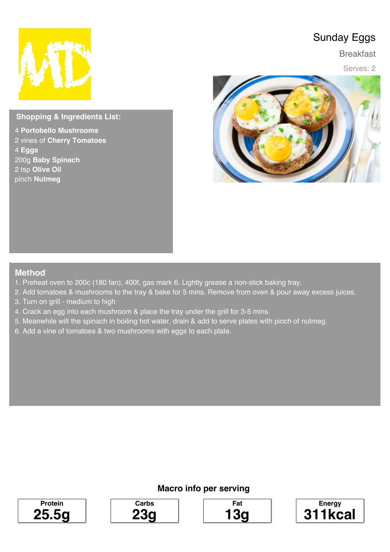# Sunday Eggs

#### **Breakfast**

Serves: 2



### **Shopping & Ingredients List:**

4 **Portobello Mushrooms** 2 vines of **Cherry Tomatoes** 4 **Eggs** 200g **Baby Spinach** 2 tsp **Olive Oil** pinch **Nutmeg**



#### **Method**

- 1. Preheat oven to 200c (180 fan), 400f, gas mark 6. Lightly grease a non-stick baking tray.
- 2. Add tomatoes & mushrooms to the tray & bake for 5 mins. Remove from oven & pour away excess juices.
- 3. Turn on grill medium to high
- 4. Crack an egg into each mushroom & place the tray under the grill for 3-5 mins.
- 5. Meanwhile wilt the spinach in boiling hot water, drain & add to serve plates with pinch of nutmeg.
- 6. Add a vine of tomatoes & two mushrooms with eggs to each plate.

## **Protein 25.5g**



**Fat 13g**

**Macro info per serving**

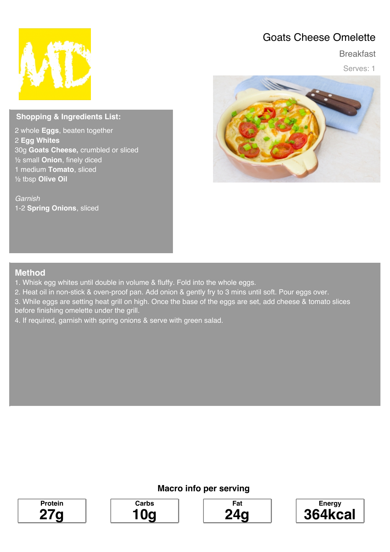# Goats Cheese Omelette

### **Breakfast**

Serves: 1



#### **Shopping & Ingredients List:**

2 whole **Eggs**, beaten together 2 **Egg Whites** 30g **Goats Cheese,** crumbled or sliced ½ small **Onion**, finely diced 1 medium **Tomato**, sliced ½ tbsp **Olive Oil**

*Garnish* 1-2 **Spring Onions**, sliced



### **Method**

1. Whisk egg whites until double in volume & fluffy. Fold into the whole eggs.

2. Heat oil in non-stick & oven-proof pan. Add onion & gently fry to 3 mins until soft. Pour eggs over.

3. While eggs are setting heat grill on high. Once the base of the eggs are set, add cheese & tomato slices before finishing omelette under the grill.

4. If required, garnish with spring onions & serve with green salad.

**Protein 27g**

**Macro info per serving Carbs 10g**